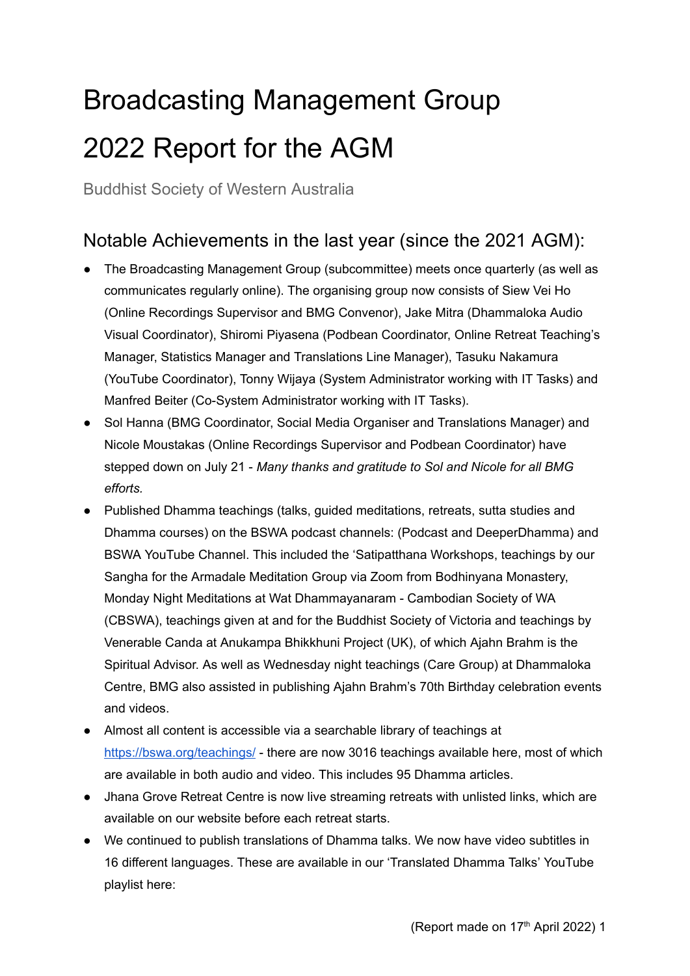## Broadcasting Management Group 2022 Report for the AGM

Buddhist Society of Western Australia

## Notable Achievements in the last year (since the 2021 AGM):

- The Broadcasting Management Group (subcommittee) meets once quarterly (as well as communicates regularly online). The organising group now consists of Siew Vei Ho (Online Recordings Supervisor and BMG Convenor), Jake Mitra (Dhammaloka Audio Visual Coordinator), Shiromi Piyasena (Podbean Coordinator, Online Retreat Teaching's Manager, Statistics Manager and Translations Line Manager), Tasuku Nakamura (YouTube Coordinator), Tonny Wijaya (System Administrator working with IT Tasks) and Manfred Beiter (Co-System Administrator working with IT Tasks).
- Sol Hanna (BMG Coordinator, Social Media Organiser and Translations Manager) and Nicole Moustakas (Online Recordings Supervisor and Podbean Coordinator) have stepped down on July 21 - *Many thanks and gratitude to Sol and Nicole for all BMG efforts.*
- Published Dhamma teachings (talks, quided meditations, retreats, sutta studies and Dhamma courses) on the BSWA podcast channels: (Podcast and DeeperDhamma) and BSWA YouTube Channel. This included the 'Satipatthana Workshops, teachings by our Sangha for the Armadale Meditation Group via Zoom from Bodhinyana Monastery, Monday Night Meditations at Wat Dhammayanaram - Cambodian Society of WA (CBSWA), teachings given at and for the Buddhist Society of Victoria and teachings by Venerable Canda at Anukampa Bhikkhuni Project (UK), of which Ajahn Brahm is the Spiritual Advisor. As well as Wednesday night teachings (Care Group) at Dhammaloka Centre, BMG also assisted in publishing Ajahn Brahm's 70th Birthday celebration events and videos.
- Almost all content is accessible via a searchable library of teachings at <https://bswa.org/teachings/> - there are now 3016 teachings available here, most of which are available in both audio and video. This includes 95 Dhamma articles.
- Jhana Grove Retreat Centre is now live streaming retreats with unlisted links, which are available on our website before each retreat starts.
- We continued to publish translations of Dhamma talks. We now have video subtitles in 16 different languages. These are available in our 'Translated Dhamma Talks' YouTube playlist here: